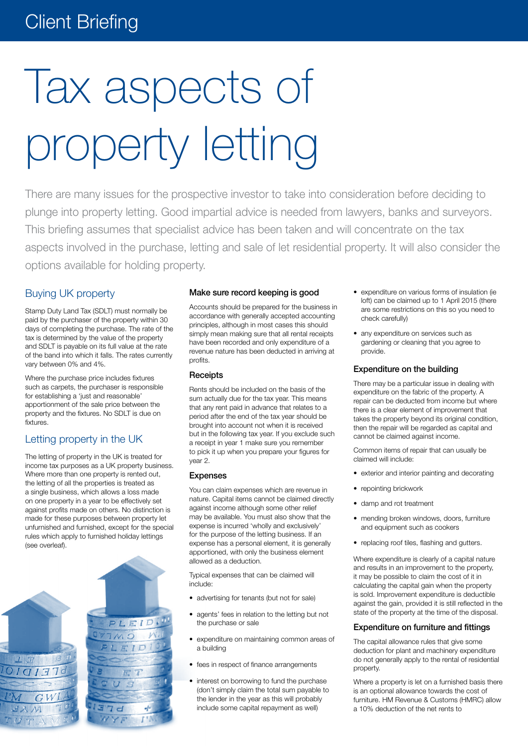# Client Briefing

# Tax aspects of property letting

There are many issues for the prospective investor to take into consideration before deciding to plunge into property letting. Good impartial advice is needed from lawyers, banks and surveyors. This briefing assumes that specialist advice has been taken and will concentrate on the tax aspects involved in the purchase, letting and sale of let residential property. It will also consider the options available for holding property.

# Buying UK property

Stamp Duty Land Tax (SDLT) must normally be paid by the purchaser of the property within 30 days of completing the purchase. The rate of the tax is determined by the value of the property and SDLT is payable on its full value at the rate of the band into which it falls. The rates currently vary between 0% and 4%.

Where the purchase price includes fixtures such as carpets, the purchaser is responsible for establishing a 'just and reasonable' apportionment of the sale price between the property and the fixtures. No SDLT is due on fixtures.

# Letting property in the UK

The letting of property in the UK is treated for income tax purposes as a UK property business. Where more than one property is rented out, the letting of all the properties is treated as a single business, which allows a loss made on one property in a year to be effectively set against profits made on others. No distinction is made for these purposes between property let unfurnished and furnished, except for the special rules which apply to furnished holiday lettings (see overleaf).



#### Make sure record keeping is good

Accounts should be prepared for the business in accordance with generally accepted accounting principles, although in most cases this should simply mean making sure that all rental receipts have been recorded and only expenditure of a revenue nature has been deducted in arriving at profits.

#### **Receipts**

Rents should be included on the basis of the sum actually due for the tax year. This means that any rent paid in advance that relates to a period after the end of the tax year should be brought into account not when it is received but in the following tax year. If you exclude such a receipt in year 1 make sure you remember to pick it up when you prepare your figures for year 2.

#### Expenses

You can claim expenses which are revenue in nature. Capital items cannot be claimed directly against income although some other relief may be available. You must also show that the expense is incurred 'wholly and exclusively' for the purpose of the letting business. If an expense has a personal element, it is generally apportioned, with only the business element allowed as a deduction.

Typical expenses that can be claimed will include:

- advertising for tenants (but not for sale)
- agents' fees in relation to the letting but not the purchase or sale
- • expenditure on maintaining common areas of a building
- fees in respect of finance arrangements
- interest on borrowing to fund the purchase (don't simply claim the total sum payable to the lender in the year as this will probably include some capital repayment as well)
- expenditure on various forms of insulation (ie loft) can be claimed up to 1 April 2015 (there are some restrictions on this so you need to check carefully)
- any expenditure on services such as gardening or cleaning that you agree to provide.

#### Expenditure on the building

There may be a particular issue in dealing with expenditure on the fabric of the property. A repair can be deducted from income but where there is a clear element of improvement that takes the property beyond its original condition, then the repair will be regarded as capital and cannot be claimed against income.

Common items of repair that can usually be claimed will include:

- exterior and interior painting and decorating
- repointing brickwork
- damp and rot treatment
- mending broken windows, doors, furniture and equipment such as cookers
- • replacing roof tiles, flashing and gutters.

Where expenditure is clearly of a capital nature and results in an improvement to the property, it may be possible to claim the cost of it in calculating the capital gain when the property is sold. Improvement expenditure is deductible against the gain, provided it is still reflected in the state of the property at the time of the disposal.

# Expenditure on furniture and fittings

The capital allowance rules that give some deduction for plant and machinery expenditure do not generally apply to the rental of residential property.

Where a property is let on a furnished basis there is an optional allowance towards the cost of furniture. HM Revenue & Customs (HMRC) allow a 10% deduction of the net rents to